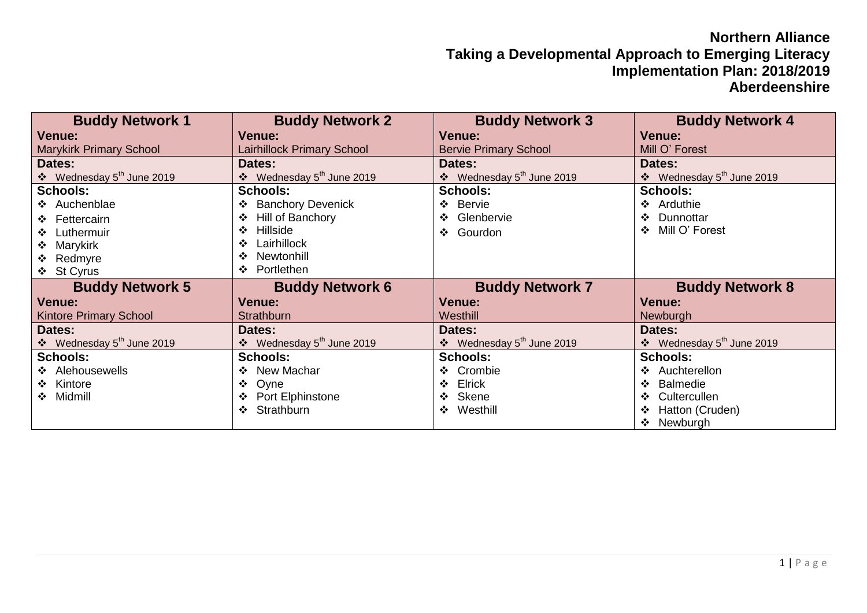## **Northern Alliance Taking a Developmental Approach to Emerging Literacy Implementation Plan: 2018/2019 Aberdeenshire**

| <b>Buddy Network 1</b>                     | <b>Buddy Network 2</b>                | <b>Buddy Network 3</b>                     | <b>Buddy Network 4</b>                     |
|--------------------------------------------|---------------------------------------|--------------------------------------------|--------------------------------------------|
| <b>Venue:</b>                              | <b>Venue:</b>                         | <b>Venue:</b>                              | <b>Venue:</b>                              |
| <b>Marykirk Primary School</b>             | Lairhillock Primary School            | <b>Bervie Primary School</b>               | Mill O' Forest                             |
| Dates:                                     | Dates:                                | Dates:                                     | Dates:                                     |
| ❖ Wednesday 5 <sup>th</sup> June 2019      | ❖ Wednesday 5 <sup>th</sup> June 2019 | ❖ Wednesday 5 <sup>th</sup> June 2019      | ❖ Wednesday 5 <sup>th</sup> June 2019      |
| <b>Schools:</b>                            | <b>Schools:</b>                       | <b>Schools:</b>                            | <b>Schools:</b>                            |
| ❖ Auchenblae                               | <b>Banchory Devenick</b><br>❖         | ❖ Bervie                                   | ❖ Arduthie                                 |
| ❖ Fettercairn                              | Hill of Banchory<br>❖                 | Glenbervie<br>❖                            | Dunnottar<br>$\frac{1}{2}$                 |
| ❖ Luthermuir                               | <b>Hillside</b><br>❖                  | Gourdon<br>❖                               | Mill O' Forest<br>$\cdot$                  |
| ❖ Marykirk                                 | Lairhillock<br>❖                      |                                            |                                            |
| ❖ Redmyre                                  | Newtonhill<br>∙≫                      |                                            |                                            |
| ❖ St Cyrus                                 | Portlethen<br>$\cdot$                 |                                            |                                            |
| <b>Buddy Network 5</b>                     | <b>Buddy Network 6</b>                | <b>Buddy Network 7</b>                     | <b>Buddy Network 8</b>                     |
| Venue:                                     | <b>Venue:</b>                         | <b>Venue:</b>                              | <b>Venue:</b>                              |
| <b>Kintore Primary School</b>              | <b>Strathburn</b>                     | Westhill                                   | Newburgh                                   |
| Dates:                                     | Dates:                                | Dates:                                     | Dates:                                     |
| $\div$ Wednesday 5 <sup>th</sup> June 2019 | ❖ Wednesday 5 <sup>th</sup> June 2019 | $\div$ Wednesday 5 <sup>th</sup> June 2019 | $\div$ Wednesday 5 <sup>th</sup> June 2019 |
| <b>Schools:</b>                            | <b>Schools:</b>                       | <b>Schools:</b>                            | <b>Schools:</b>                            |
| ❖ Alehousewells                            | New Machar<br>$\cdot$                 | ❖ Crombie                                  | ❖ Auchterellon                             |
| ❖ Kintore                                  | Oyne<br>❖                             | ❖ Elrick                                   | <b>Balmedie</b><br>$\cdot$                 |
| ❖ Midmill                                  | Port Elphinstone                      | ❖ Skene                                    | Cultercullen<br>$\cdot$                    |
|                                            | Strathburn<br>$\cdot$                 | ❖ Westhill                                 | Hatton (Cruden)                            |
|                                            |                                       |                                            | Newburgh<br>❖                              |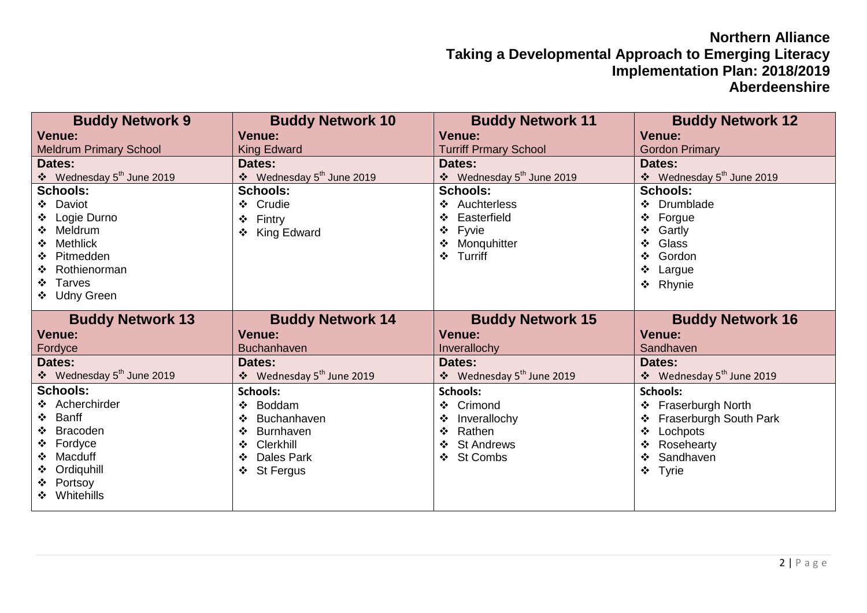## **Northern Alliance Taking a Developmental Approach to Emerging Literacy Implementation Plan: 2018/2019 Aberdeenshire**

| <b>Buddy Network 9</b>                | <b>Buddy Network 10</b>                    | <b>Buddy Network 11</b>               | <b>Buddy Network 12</b>               |
|---------------------------------------|--------------------------------------------|---------------------------------------|---------------------------------------|
| <b>Venue:</b>                         | <b>Venue:</b>                              | <b>Venue:</b>                         | <b>Venue:</b>                         |
| <b>Meldrum Primary School</b>         | <b>King Edward</b>                         | <b>Turriff Prmary School</b>          | <b>Gordon Primary</b>                 |
| Dates:                                | Dates:                                     | Dates:                                | Dates:                                |
| ❖ Wednesday 5 <sup>th</sup> June 2019 | ❖ Wednesday 5 <sup>th</sup> June 2019      | ❖ Wednesday 5 <sup>th</sup> June 2019 | ❖ Wednesday 5 <sup>th</sup> June 2019 |
| <b>Schools:</b>                       | <b>Schools:</b>                            | <b>Schools:</b>                       | <b>Schools:</b>                       |
| ❖ Daviot                              | ❖ Crudie                                   | ❖ Auchterless                         | ❖ Drumblade                           |
| ❖ Logie Durno                         | Fintry<br>❖                                | Easterfield<br>❖                      | Forgue<br>❖                           |
| ❖ Meldrum                             | King Edward<br>❖                           | ❖ Fyvie                               | Gartly<br>❖                           |
| Methlick                              |                                            | ❖ Monquhitter                         | Glass<br>$\frac{1}{2}$                |
| ❖ Pitmedden                           |                                            | ❖ Turriff                             | Gordon<br>❖                           |
| Rothienorman                          |                                            |                                       | Largue<br>❖                           |
| Tarves                                |                                            |                                       | Rhynie<br>$\frac{1}{2}$               |
| ❖ Udny Green                          |                                            |                                       |                                       |
|                                       |                                            |                                       |                                       |
| <b>Buddy Network 13</b>               | <b>Buddy Network 14</b>                    | <b>Buddy Network 15</b>               | <b>Buddy Network 16</b>               |
| <b>Venue:</b>                         | <b>Venue:</b>                              | <b>Venue:</b>                         | <b>Venue:</b>                         |
| Fordyce                               | <b>Buchanhaven</b>                         | Inverallochy                          | Sandhaven                             |
| Dates:                                | Dates:                                     | Dates:                                | Dates:                                |
| ❖ Wednesday 5 <sup>th</sup> June 2019 | $\div$ Wednesday 5 <sup>th</sup> June 2019 | ❖ Wednesday 5 <sup>th</sup> June 2019 | ❖ Wednesday 5 <sup>th</sup> June 2019 |
| <b>Schools:</b>                       | <b>Schools:</b>                            | <b>Schools:</b>                       | <b>Schools:</b>                       |
| ❖ Acherchirder                        | Boddam<br>❖                                | ❖ Crimond                             | ❖ Fraserburgh North                   |
| Banff<br>❖                            | Buchanhaven<br>❖                           | Inverallochy<br>❖                     | Fraserburgh South Park<br>❖           |
| Bracoden                              | <b>Burnhaven</b><br>❖                      | Rathen<br>❖                           | Lochpots<br>❖                         |
| ❖ Fordyce                             | Clerkhill<br>❖                             | ❖ St Andrews                          | Rosehearty<br>❖                       |
| Macduff                               | Dales Park<br>❖                            | ❖ St Combs                            | Sandhaven<br>❖                        |
| ❖ Ordiquhill                          | <b>St Fergus</b><br>❖                      |                                       | Tyrie<br>❖                            |
| ❖ Portsoy<br>❖ Whitehills             |                                            |                                       |                                       |